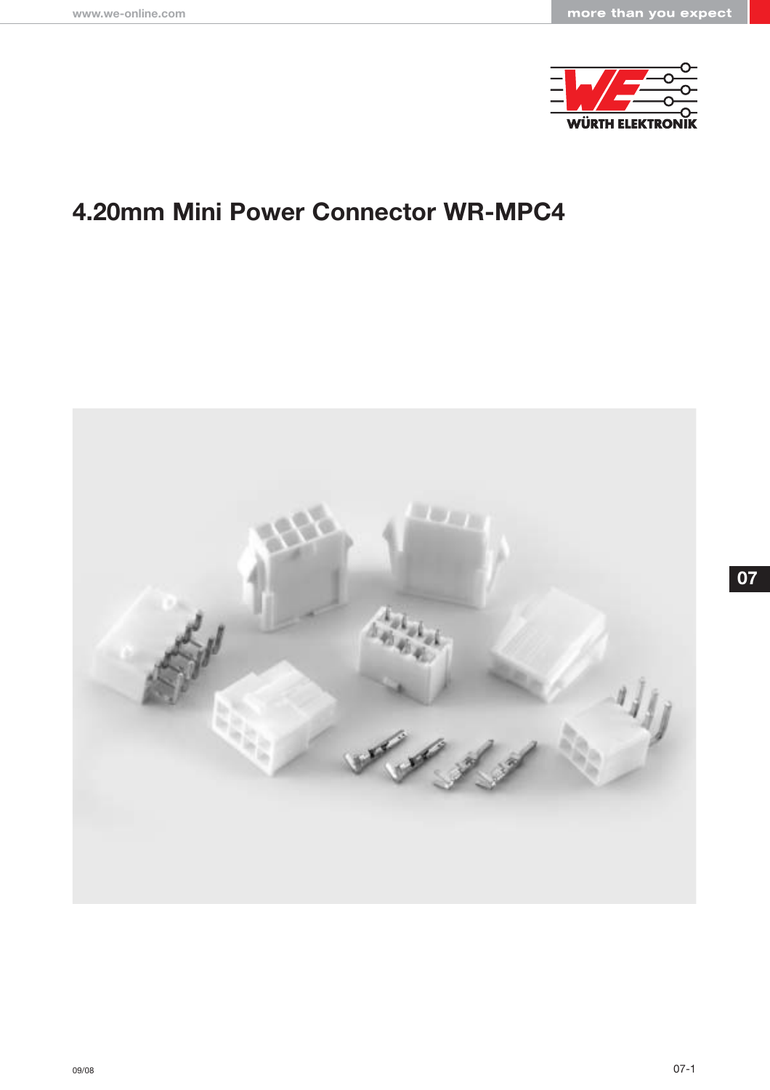

# **4.20mm Mini Power Connector WR-MPC4**

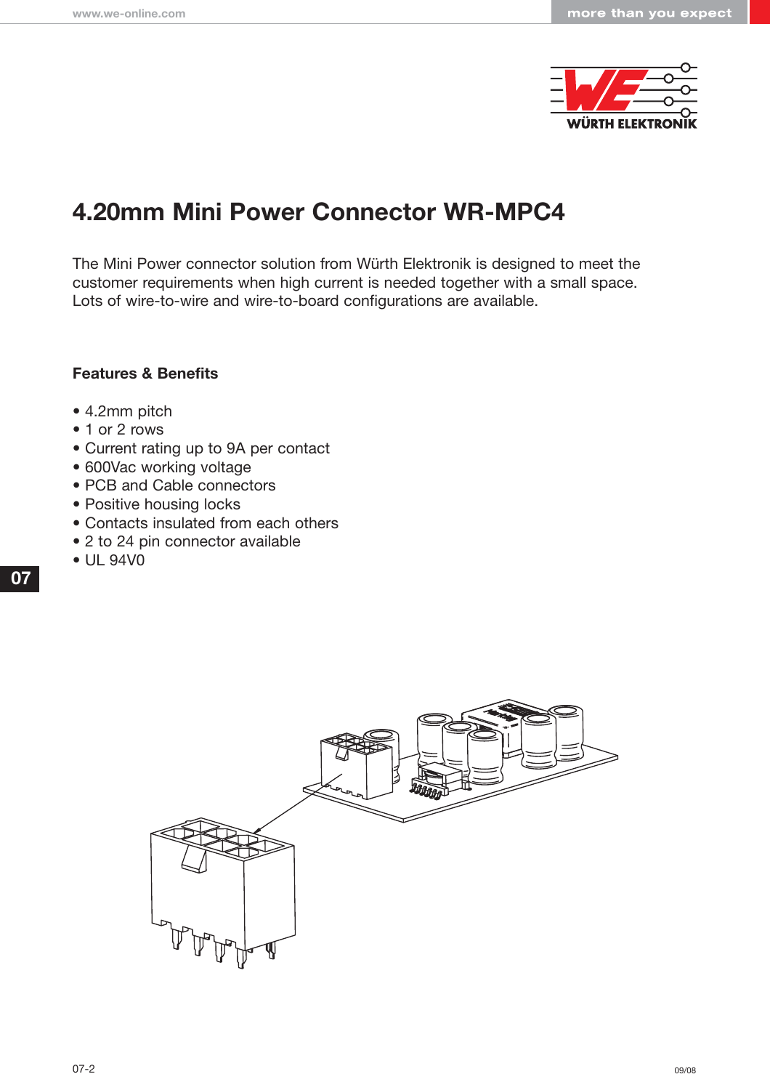

# **4.20mm Mini Power Connector WR-MPC4**

The Mini Power connector solution from Würth Elektronik is designed to meet the customer requirements when high current is needed together with a small space. Lots of wire-to-wire and wire-to-board configurations are available.

### **Features & Benefits**

- 4.2mm pitch
- 1 or 2 rows
- Current rating up to 9A per contact
- 600Vac working voltage
- PCB and Cable connectors
- Positive housing locks
- Contacts insulated from each others
- 2 to 24 pin connector available
- UL 94V0

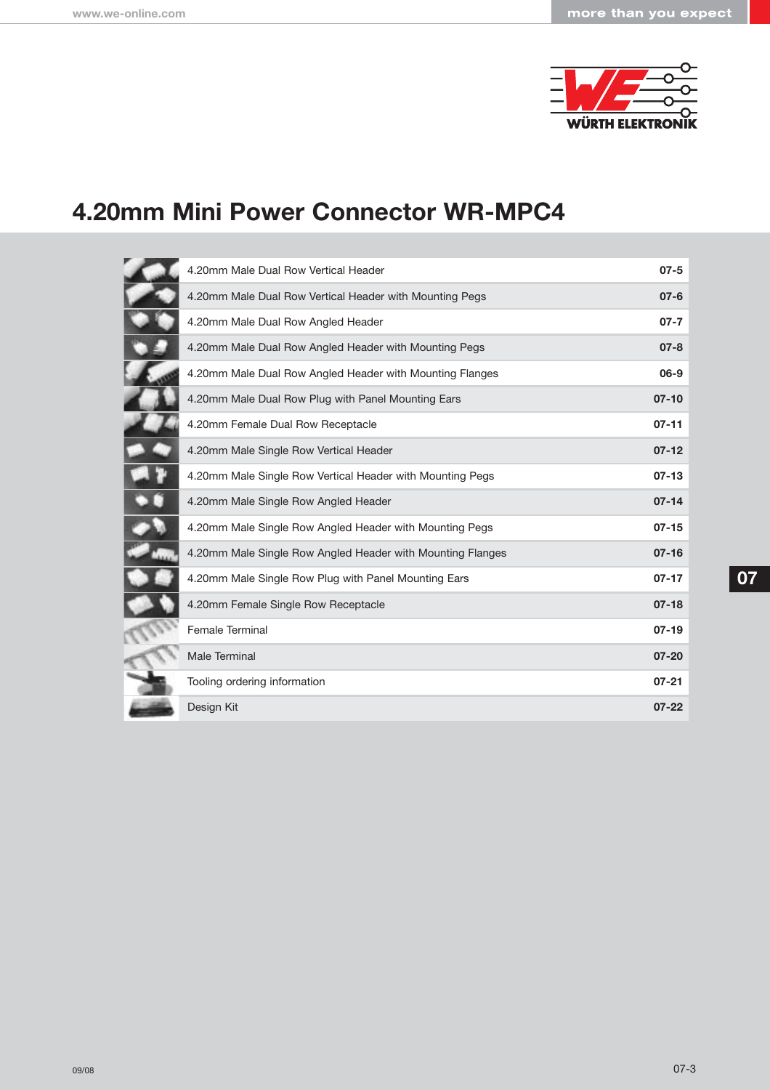

# **4.20mm Mini Power Connector WR-MPC4**

| 4.20mm Male Dual Row Vertical Header                       | $07 - 5$  |
|------------------------------------------------------------|-----------|
| 4.20mm Male Dual Row Vertical Header with Mounting Pegs    | $07 - 6$  |
| 4.20mm Male Dual Row Angled Header                         | $07 - 7$  |
| 4.20mm Male Dual Row Angled Header with Mounting Pegs      | $07 - 8$  |
| 4.20mm Male Dual Row Angled Header with Mounting Flanges   | 06-9      |
| 4.20mm Male Dual Row Plug with Panel Mounting Ears         | $07 - 10$ |
| 4.20mm Female Dual Row Receptacle                          | $07 - 11$ |
| 4.20mm Male Single Row Vertical Header                     | $07 - 12$ |
| 4.20mm Male Single Row Vertical Header with Mounting Pegs  | $07 - 13$ |
| 4.20mm Male Single Row Angled Header                       | $07 - 14$ |
| 4.20mm Male Single Row Angled Header with Mounting Pegs    | $07 - 15$ |
| 4.20mm Male Single Row Angled Header with Mounting Flanges | $07 - 16$ |
| 4.20mm Male Single Row Plug with Panel Mounting Ears       | $07 - 17$ |
| 4.20mm Female Single Row Receptacle                        | $07-18$   |
| <b>Female Terminal</b>                                     | $07-19$   |
| Male Terminal                                              | $07 - 20$ |
| Tooling ordering information                               | $07 - 21$ |
| Design Kit                                                 | $07 - 22$ |
|                                                            |           |

 $\overline{1}$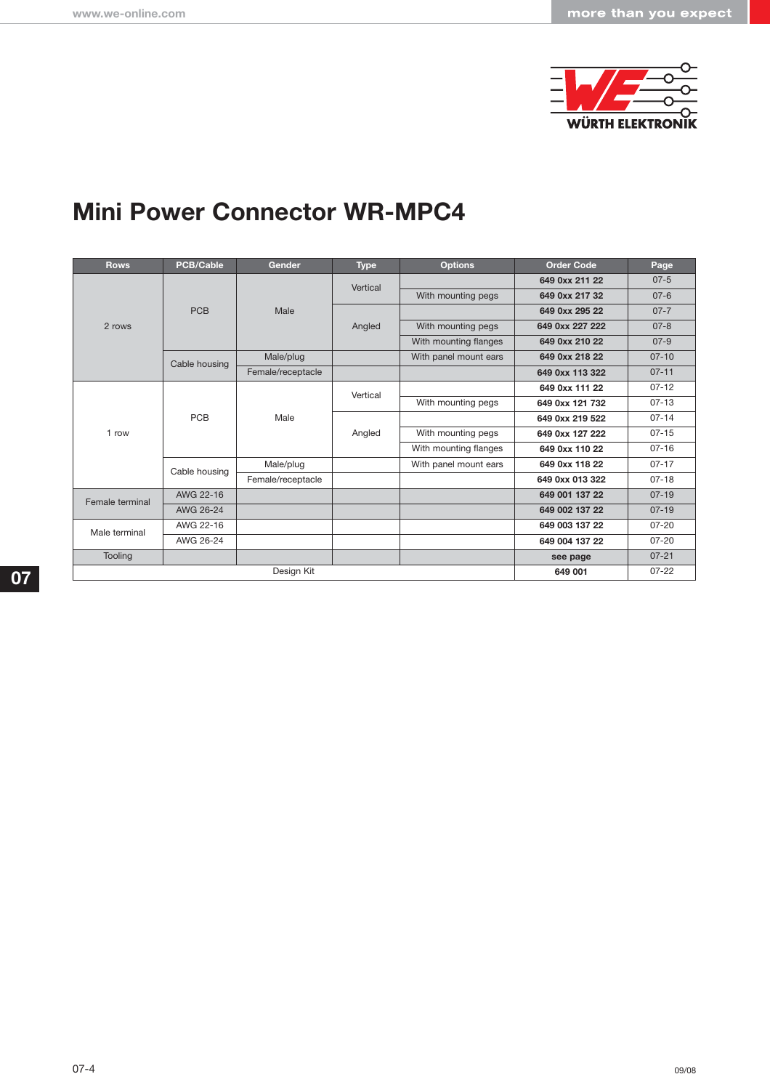

# **Mini Power Connector WR-MPC4**

| <b>Rows</b>     | <b>PCB/Cable</b> | <b>Gender</b>     | <b>Type</b> | <b>Options</b>        | <b>Order Code</b> | Page      |
|-----------------|------------------|-------------------|-------------|-----------------------|-------------------|-----------|
|                 |                  |                   | Vertical    |                       | 649 0xx 211 22    | $07 - 5$  |
|                 |                  |                   |             | With mounting pegs    | 649 0xx 217 32    | $07 - 6$  |
|                 | <b>PCB</b>       | Male              |             |                       | 649 0xx 295 22    | $07 - 7$  |
| 2 rows          |                  |                   | Angled      | With mounting pegs    | 649 0xx 227 222   | $07 - 8$  |
|                 |                  |                   |             | With mounting flanges | 649 0xx 210 22    | $07-9$    |
|                 | Cable housing    | Male/plug         |             | With panel mount ears | 649 0xx 218 22    | $07 - 10$ |
|                 |                  | Female/receptacle |             |                       | 649 0xx 113 322   | $07 - 11$ |
|                 | <b>PCB</b>       | Male              | Vertical    |                       | 649 0xx 111 22    | $07 - 12$ |
|                 |                  |                   |             | With mounting pegs    | 649 0xx 121 732   | $07 - 13$ |
|                 |                  |                   | Angled      |                       | 649 0xx 219 522   | $07 - 14$ |
| 1 row           |                  |                   |             | With mounting pegs    | 649 0xx 127 222   | $07 - 15$ |
|                 |                  |                   |             | With mounting flanges | 649 0xx 110 22    | $07 - 16$ |
|                 | Cable housing    | Male/plug         |             | With panel mount ears | 649 0xx 118 22    | $07 - 17$ |
|                 |                  | Female/receptacle |             |                       | 649 0xx 013 322   | $07 - 18$ |
| Female terminal | AWG 22-16        |                   |             |                       | 649 001 137 22    | $07 - 19$ |
|                 | AWG 26-24        |                   |             |                       | 649 002 137 22    | $07 - 19$ |
| Male terminal   | AWG 22-16        |                   |             |                       | 649 003 137 22    | $07 - 20$ |
|                 | AWG 26-24        |                   |             |                       | 649 004 137 22    | $07 - 20$ |
| Tooling         |                  |                   |             |                       | see page          | $07 - 21$ |
| Design Kit      |                  |                   |             |                       | 649 001           | $07 - 22$ |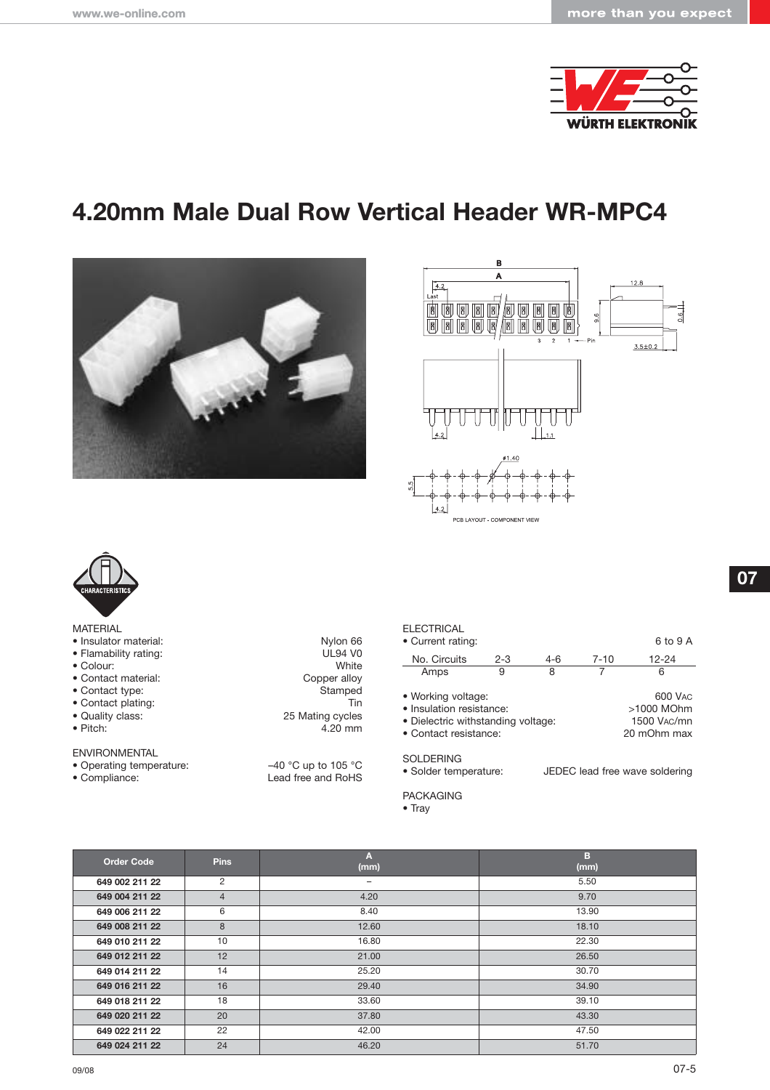

# **4.20mm Male Dual Row Vertical Header WR-MPC4**







| <b>MATERIAL</b> |  |
|-----------------|--|
|-----------------|--|

- 
- 
- 
- 
- $\bullet$  Contact type:
- 
- 
- 
- ENVIRONMENTAL
- 
- 

• Insulator material: Nylon 66<br>• Flamability rating: National Material: Nylon 66<br>DL94 V0 • Flamability rating: UL94 VO<br>
• Colour: White • Colour: White<br>• Contact material: Copper alloy • Contact material: Copper alloy • Contact plating: Tin and the United States of the United States of the United States of the 25 Mating cycles • Quality class: 25 Mating cycles<br>• Pitch: 4.20 mm  $4.20$  mm

• Operating temperature:  $-40 °C$  up to 105 °C<br>• Compliance: Lead free and RoHS Lead free and RoHS

#### **ELECTRICAL**

| • Current rating:                                                                                             |         |       |          | 6 to 9 A                                            |
|---------------------------------------------------------------------------------------------------------------|---------|-------|----------|-----------------------------------------------------|
| No. Circuits                                                                                                  | $2 - 3$ | $4-6$ | $7 - 10$ | $12 - 24$                                           |
| Amps                                                                                                          | 9       | 8     |          | 6                                                   |
| • Working voltage:<br>• Insulation resistance:<br>• Dielectric withstanding voltage:<br>• Contact resistance: |         |       |          | 600 VAC<br>>1000 MOhm<br>1500 VAC/mn<br>20 mOhm max |
| SOI DERING                                                                                                    |         |       |          |                                                     |

SOLDERING<br>• Solder temperature: JEDEC lead free wave soldering

PACKAGING

| Order Code     | <b>Pins</b>    | A<br>(mm)         | в<br>(mm) |
|----------------|----------------|-------------------|-----------|
| 649 002 211 22 | 2              | $\qquad \qquad -$ | 5.50      |
| 649 004 211 22 | $\overline{4}$ | 4.20              | 9.70      |
| 649 006 211 22 | 6              | 8.40              | 13.90     |
| 649 008 211 22 | 8              | 12.60             | 18.10     |
| 649 010 211 22 | 10             | 16.80             | 22.30     |
| 649 012 211 22 | 12             | 21.00             | 26.50     |
| 649 014 211 22 | 14             | 25.20             | 30.70     |
| 649 016 211 22 | 16             | 29.40             | 34.90     |
| 649 018 211 22 | 18             | 33.60             | 39.10     |
| 649 020 211 22 | 20             | 37.80             | 43.30     |
| 649 022 211 22 | 22             | 42.00             | 47.50     |
| 649 024 211 22 | 24             | 46.20             | 51.70     |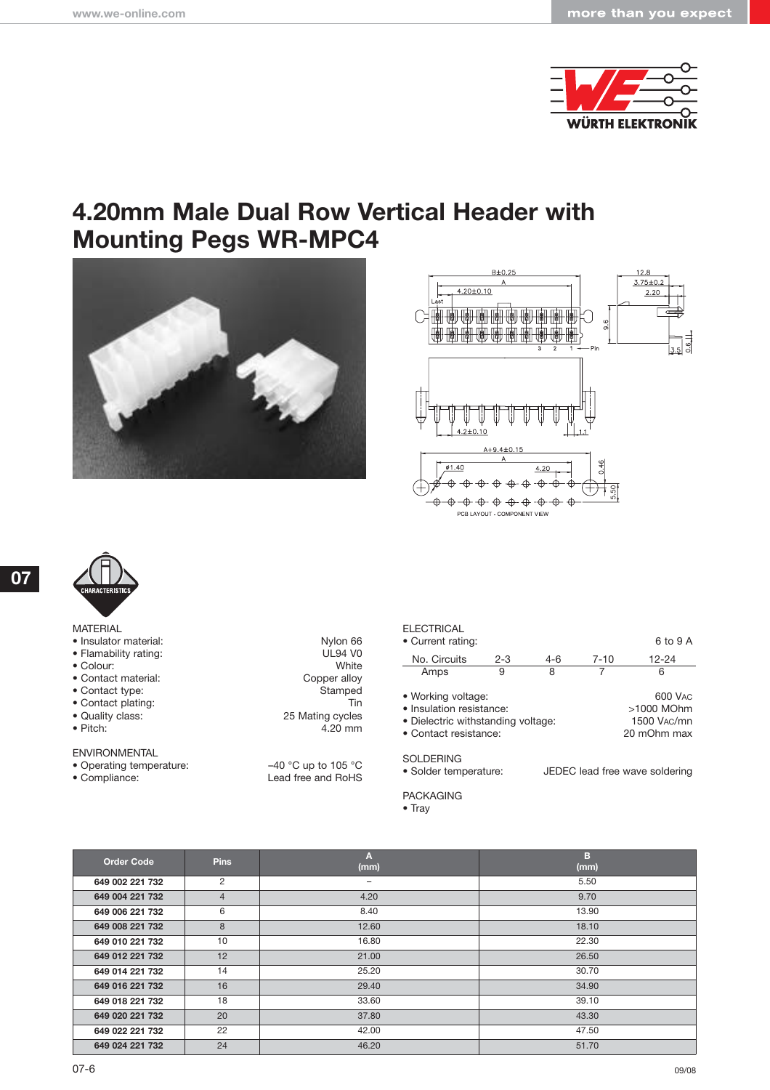

## **4.20mm Male Dual Row Vertical Header with Mounting Pegs WR-MPC4**







**07**

| <b>MATERIAL</b> |  |
|-----------------|--|

- 
- 
- 
- 
- Contact type:
- 
- 
- 

#### ENVIRONMENTAL

- 
- 

• Insulator material: Nylon 66<br>• Flamability rating: New York 1992 VO • Flamability rating: UL94 VO<br>
• Colour: White • Colour: White<br>• Contact material: Copper alloy • Contact material: Copper alloy<br>• Contact type: Contact material: Copper alloy<br>Compediate stamped • Contact plating: Tin<br>
• Quality class: 25 Mating cycles • Quality class: 25 Mating cycles<br>• Pitch: 4.20 mm  $4.20$  mm

• Operating temperature:  $-40 °C$  up to 105 °C<br>• Compliance: Lead free and RoHS Lead free and RoHS

#### **ELECTRICAL**

| • Current rating:                                                                                             |         |       |          | 6 to 9 A                                            |
|---------------------------------------------------------------------------------------------------------------|---------|-------|----------|-----------------------------------------------------|
| No. Circuits                                                                                                  | $2 - 3$ | $4-6$ | $7 - 10$ | $12 - 24$                                           |
| Amps                                                                                                          | 9       | 8     |          | 6                                                   |
| • Working voltage:<br>· Insulation resistance:<br>• Dielectric withstanding voltage:<br>• Contact resistance: |         |       |          | 600 VAC<br>>1000 MOhm<br>1500 VAC/mn<br>20 mOhm max |
| 0 <sub>0</sub>                                                                                                |         |       |          |                                                     |

SOLDERING<br>• Solder temperature: JEDEC lead free wave soldering

PACKAGING

| <b>Order Code</b> | <b>Pins</b>    | Α<br>(mm) | в<br>(mm) |
|-------------------|----------------|-----------|-----------|
| 649 002 221 732   | $\overline{2}$ | -         | 5.50      |
| 649 004 221 732   | $\overline{4}$ | 4.20      | 9.70      |
| 649 006 221 732   | 6              | 8.40      | 13.90     |
| 649 008 221 732   | 8              | 12.60     | 18.10     |
| 649 010 221 732   | 10             | 16.80     | 22.30     |
| 649 012 221 732   | 12             | 21.00     | 26.50     |
| 649 014 221 732   | 14             | 25.20     | 30.70     |
| 649 016 221 732   | 16             | 29.40     | 34.90     |
| 649 018 221 732   | 18             | 33.60     | 39.10     |
| 649 020 221 732   | 20             | 37.80     | 43.30     |
| 649 022 221 732   | 22             | 42.00     | 47.50     |
| 649 024 221 732   | 24             | 46.20     | 51.70     |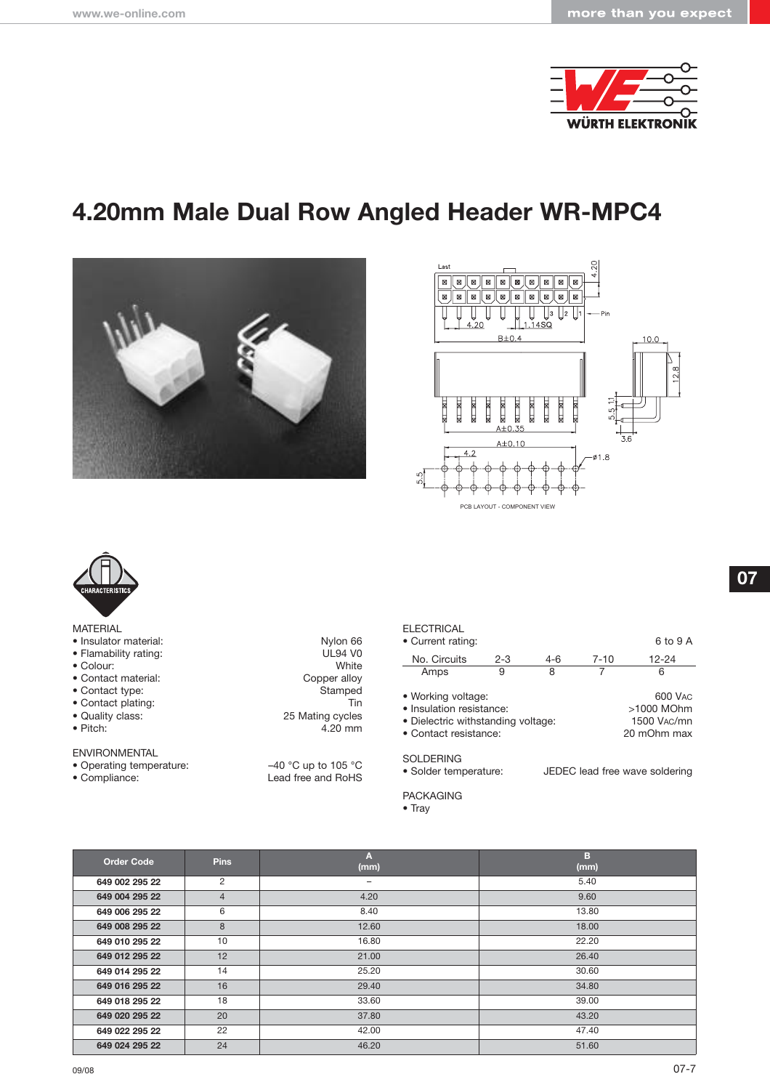

# **4.20mm Male Dual Row Angled Header WR-MPC4**







| MATERIAL |
|----------|
|----------|

- 
- 
- 
- 
- Contact type:
- 
- 
- 
- ENVIRONMENTAL
- 
- 

• Insulator material: Nylon 66<br>• Flamability rating: National Material: Nylon 66<br>DL94 V0 • Flamability rating: UL94 VO<br>
• Colour: White • Colour: White<br>• Contact material: Copper alloy • Contact material: Copper alloy • Contact plating: Tin<br>
• Quality class: 25 Mating cycles • Quality class: 25 Mating cycles<br>• Pitch: 4.20 mm  $4.20$  mm

• Operating temperature:  $-40 °C$  up to 105 °C<br>• Compliance: Lead free and RoHS Lead free and RoHS

#### **ELECTRICAL**

| • Current rating:                                                                                             |         |       |          | 6 to 9 A                                            |
|---------------------------------------------------------------------------------------------------------------|---------|-------|----------|-----------------------------------------------------|
| No. Circuits                                                                                                  | $2 - 3$ | $4-6$ | $7 - 10$ | $12 - 24$                                           |
| Amps                                                                                                          | 9       | 8     |          | 6                                                   |
| • Working voltage:<br>• Insulation resistance:<br>• Dielectric withstanding voltage:<br>• Contact resistance: |         |       |          | 600 VAC<br>>1000 MOhm<br>1500 VAC/mn<br>20 mOhm max |
| SOI DERING                                                                                                    |         |       |          |                                                     |

SOLDERING<br>• Solder temperature: JEDEC lead free wave soldering

PACKAGING

| <b>Order Code</b> | <b>Pins</b>    | Α<br>(mm) | в<br>(mm) |
|-------------------|----------------|-----------|-----------|
| 649 002 295 22    | $\overline{2}$ | -         | 5.40      |
| 649 004 295 22    | $\overline{4}$ | 4.20      | 9.60      |
| 649 006 295 22    | 6              | 8.40      | 13.80     |
| 649 008 295 22    | 8              | 12.60     | 18.00     |
| 649 010 295 22    | 10             | 16.80     | 22.20     |
| 649 012 295 22    | 12             | 21.00     | 26.40     |
| 649 014 295 22    | 14             | 25.20     | 30.60     |
| 649 016 295 22    | 16             | 29.40     | 34.80     |
| 649 018 295 22    | 18             | 33.60     | 39.00     |
| 649 020 295 22    | 20             | 37.80     | 43.20     |
| 649 022 295 22    | 22             | 42.00     | 47.40     |
| 649 024 295 22    | 24             | 46.20     | 51.60     |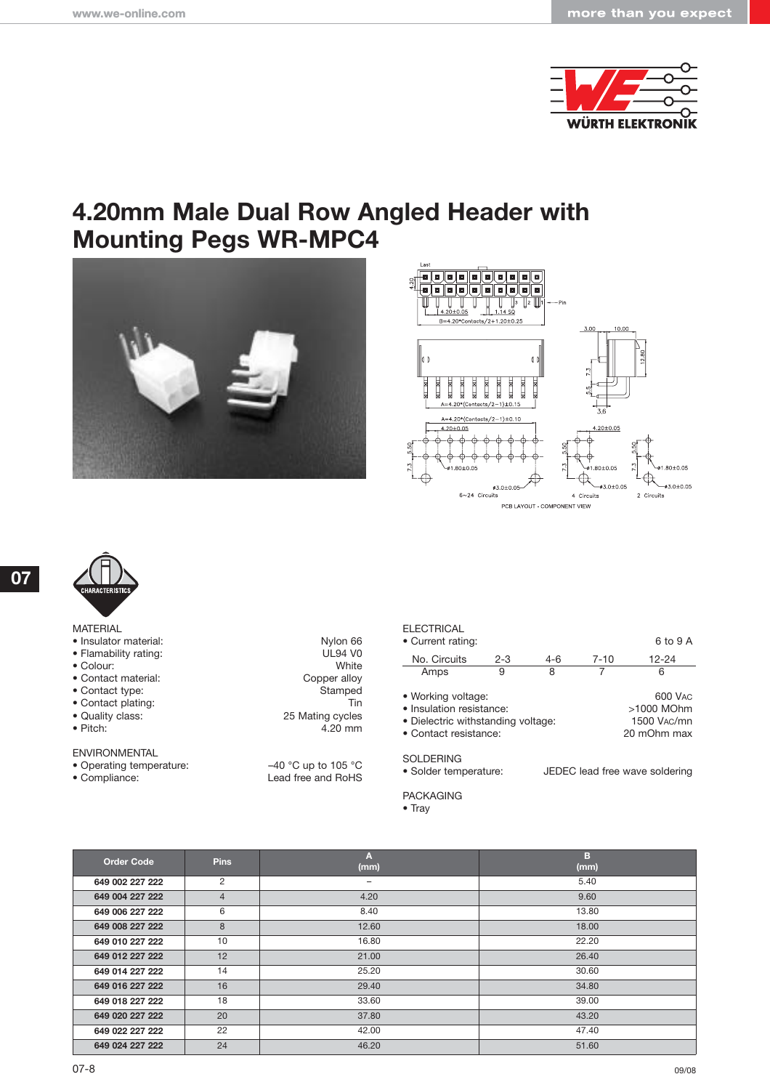

## **4.20mm Male Dual Row Angled Header with Mounting Pegs WR-MPC4**







**07**

| <b>MATERIAL</b> |  |
|-----------------|--|
|                 |  |

- 
- 
- 
- 
- $\bullet$  Contact type:
- 
- 
- 
- ENVIRONMENTAL
- 
- 

• Insulator material: Nylon 66<br>• Flamability rating: New York 1992 VO • Flamability rating: UL94 VO<br>
• Colour: White • Colour: White<br>• Contact material: Copper alloy • Contact material: Copper alloy • Contact plating: Tin<br>
• Quality class: 25 Mating cycles • Quality class: 25 Mating cycles<br>• Pitch: 4.20 mm  $4.20$  mm

• Operating temperature:  $-40 °C$  up to 105 °C<br>• Compliance: Lead free and RoHS Lead free and RoHS

#### **ELECTRICAL**

| • Current rating:                                                                                             |         |       |          | 6 to 9 A                                            |
|---------------------------------------------------------------------------------------------------------------|---------|-------|----------|-----------------------------------------------------|
| No. Circuits                                                                                                  | $2 - 3$ | $4-6$ | $7 - 10$ | $12 - 24$                                           |
| Amps                                                                                                          | 9       | 8     |          | 6                                                   |
| • Working voltage:<br>· Insulation resistance:<br>• Dielectric withstanding voltage:<br>• Contact resistance: |         |       |          | 600 VAC<br>>1000 MOhm<br>1500 VAC/mn<br>20 mOhm max |
| 0 <sub>0</sub>                                                                                                |         |       |          |                                                     |

SOLDERING<br>• Solder temperature: JEDEC lead free wave soldering

PACKAGING

| <b>Order Code</b> | <b>Pins</b>    | Α<br>(mm) | в<br>(mm) |
|-------------------|----------------|-----------|-----------|
| 649 002 227 222   | $\overline{2}$ | -         | 5.40      |
| 649 004 227 222   | $\overline{4}$ | 4.20      | 9.60      |
| 649 006 227 222   | 6              | 8.40      | 13.80     |
| 649 008 227 222   | 8              | 12.60     | 18.00     |
| 649 010 227 222   | 10             | 16.80     | 22.20     |
| 649 012 227 222   | 12             | 21.00     | 26.40     |
| 649 014 227 222   | 14             | 25.20     | 30.60     |
| 649 016 227 222   | 16             | 29.40     | 34.80     |
| 649 018 227 222   | 18             | 33.60     | 39.00     |
| 649 020 227 222   | 20             | 37.80     | 43.20     |
| 649 022 227 222   | 22             | 42.00     | 47.40     |
| 649 024 227 222   | 24             | 46.20     | 51.60     |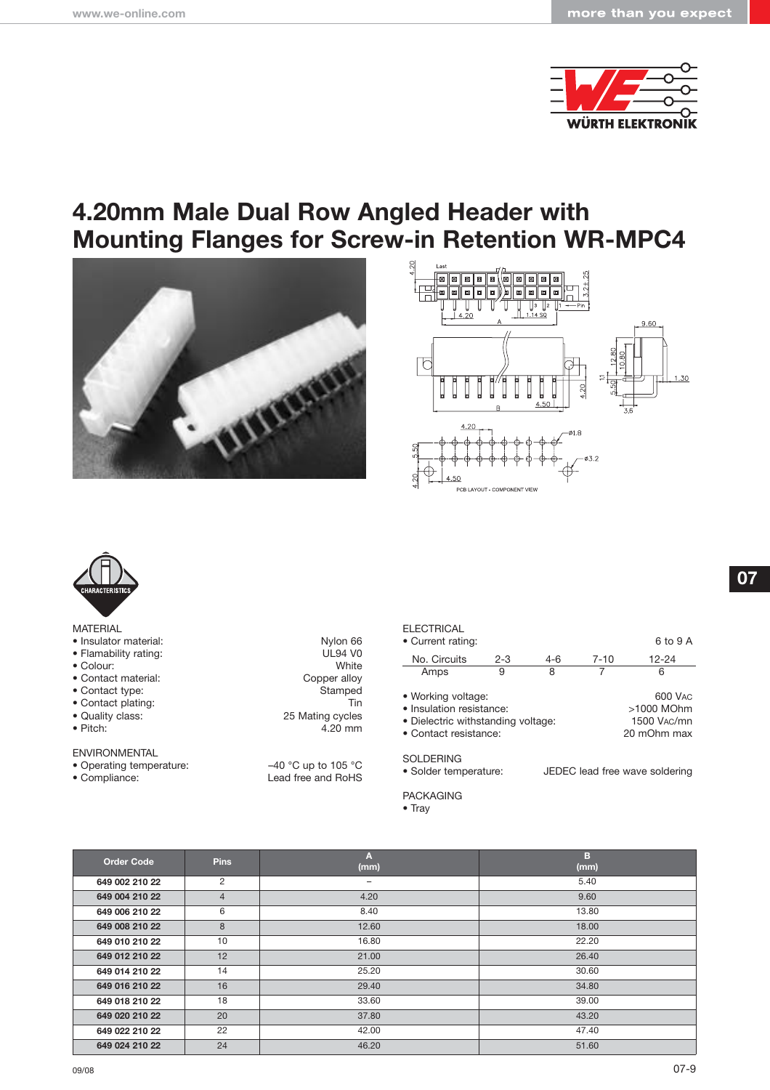

### **4.20mm Male Dual Row Angled Header with Mounting Flanges for Screw-in Retention WR-MPC4**







#### MATERIAL

- Insulator material: Nylon 66
- 
- Colour:
- 
- $\bullet$  Contact type:
- 
- 
- 

#### ENVIRONMENTAL

- 
- 
- Flamability rating: UL94 VO<br>
 Colour: White • Contact material: Copper alloy • Contact plating: Tin<br>
• Quality class: 25 Mating cycles • Quality class: 25 Mating cycles<br>
• Pitch: 4.20 mm  $4.20$  mm

• Operating temperature:  $-40 °C$  up to 105 °C<br>• Compliance: Lead free and RoHS Lead free and RoHS

#### **ELECTRICAL**

| • Current rating:                                                                                             |         |       |          | 6 to 9 A                                            |
|---------------------------------------------------------------------------------------------------------------|---------|-------|----------|-----------------------------------------------------|
| No. Circuits                                                                                                  | $2 - 3$ | $4-6$ | $7 - 10$ | $12 - 24$                                           |
| Amps                                                                                                          | 9       | 8     |          | 6                                                   |
| • Working voltage:<br>· Insulation resistance:<br>• Dielectric withstanding voltage:<br>• Contact resistance: |         |       |          | 600 VAC<br>>1000 MOhm<br>1500 VAC/mn<br>20 mOhm max |

SOLDERING<br>• Solder temperature: JEDEC lead free wave soldering

PACKAGING

| <b>Order Code</b> | <b>Pins</b>    | A<br>(mm)         | в<br>(mm) |
|-------------------|----------------|-------------------|-----------|
| 649 002 210 22    | 2              | $\qquad \qquad -$ | 5.40      |
| 649 004 210 22    | $\overline{4}$ | 4.20              | 9.60      |
| 649 006 210 22    | 6              | 8.40              | 13.80     |
| 649 008 210 22    | 8              | 12.60             | 18.00     |
| 649 010 210 22    | 10             | 16.80             | 22.20     |
| 649 012 210 22    | 12             | 21.00             | 26.40     |
| 649 014 210 22    | 14             | 25.20             | 30.60     |
| 649 016 210 22    | 16             | 29.40             | 34.80     |
| 649 018 210 22    | 18             | 33.60             | 39.00     |
| 649 020 210 22    | 20             | 37.80             | 43.20     |
| 649 022 210 22    | 22             | 42.00             | 47.40     |
| 649 024 210 22    | 24             | 46.20             | 51.60     |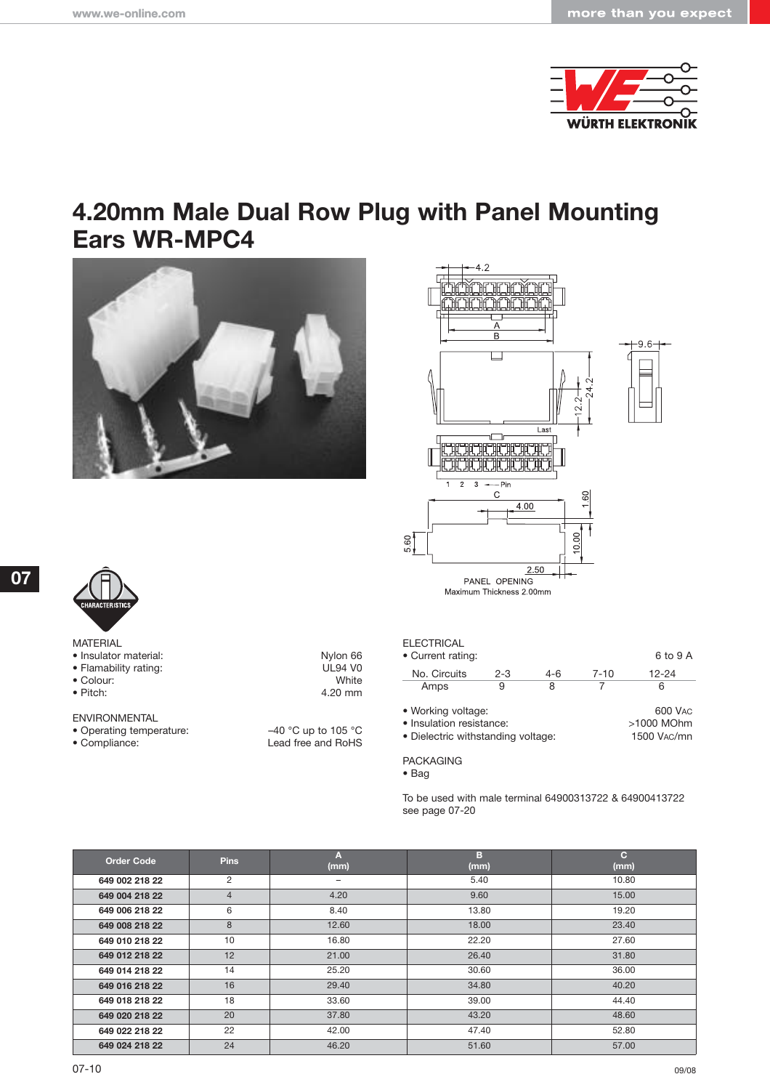

## **4.20mm Male Dual Row Plug with Panel Mounting Ears WR-MPC4**







**07**

| <b>MATERIAL</b> |
|-----------------|
|-----------------|

- Insulator material: Nylon 66<br>• Flamability rating: National Material: Nylon 66<br>DUS4 VO
- 
- Colour:<br>• Pitch:
- 

ENVIRONMENTAL

- 
- 

• Flamability rating: UL94 VO<br>• Colour: White 4.20 mm

• Operating temperature:  $-40 °C$  up to 105 °C<br>• Compliance: Lead free and RoHS Lead free and RoHS

| ELECTRICAL<br>• Current rating:                                                      |         |       |          | 6 to 9 A                             |
|--------------------------------------------------------------------------------------|---------|-------|----------|--------------------------------------|
| No. Circuits                                                                         | $2 - 3$ | $4-6$ | $7 - 10$ | $12 - 24$                            |
| Amps                                                                                 | 9       | 8     |          | 6                                    |
| • Working voltage:<br>· Insulation resistance:<br>• Dielectric withstanding voltage: |         |       |          | 600 VAC<br>>1000 MOhm<br>1500 VAC/mn |

PACKAGING

• Bag

To be used with male terminal 64900313722 & 64900413722 see page 07-20

| <b>Order Code</b> | <b>Pins</b>    | А<br>(mm) | в<br>(mm) | $\mathbf{C}$<br>(mm) |
|-------------------|----------------|-----------|-----------|----------------------|
| 649 002 218 22    | 2              | -         | 5.40      | 10.80                |
| 649 004 218 22    | $\overline{4}$ | 4.20      | 9.60      | 15.00                |
| 649 006 218 22    | 6              | 8.40      | 13.80     | 19.20                |
| 649 008 218 22    | 8              | 12.60     | 18.00     | 23.40                |
| 649 010 218 22    | 10             | 16.80     | 22.20     | 27.60                |
| 649 012 218 22    | 12             | 21.00     | 26.40     | 31.80                |
| 649 014 218 22    | 14             | 25.20     | 30.60     | 36.00                |
| 649 016 218 22    | 16             | 29.40     | 34.80     | 40.20                |
| 649 018 218 22    | 18             | 33.60     | 39.00     | 44.40                |
| 649 020 218 22    | 20             | 37.80     | 43.20     | 48.60                |
| 649 022 218 22    | 22             | 42.00     | 47.40     | 52.80                |
| 649 024 218 22    | 24             | 46.20     | 51.60     | 57.00                |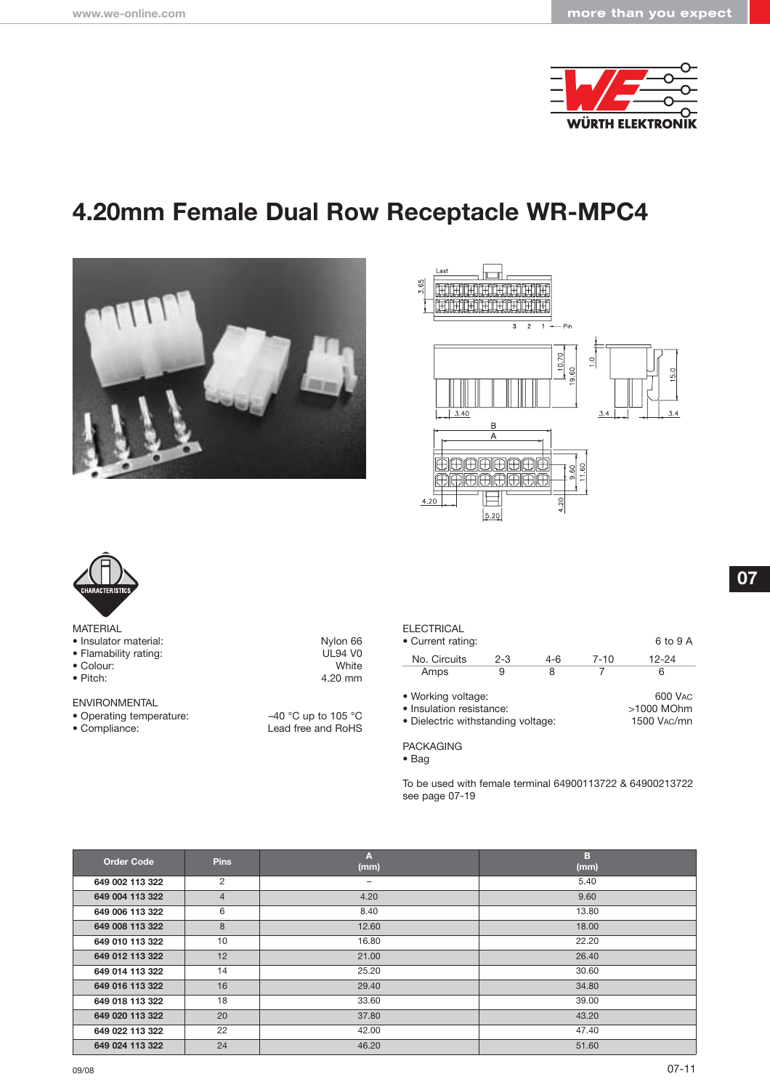

# **4.20mm Female Dual Row Receptacle WR-MPC4**







| <b>MATERIAL</b> |
|-----------------|
|-----------------|

- Insulator material: Nylon 66
- 
- Colour:<br>• Pitch:
- 
- ENVIRONMENTAL
- 
- 

• Flamability rating: UL94 VO<br>• Colour: White Website Management Colour: 4.20 mm

• Operating temperature:  $-40 °C$  up to 105 °C<br>• Compliance: Lead free and RoHS Lead free and RoHS

#### **ELECTRICAL**

| • Current rating:                                                                    |         |         |          | 6 to 9 A                             |
|--------------------------------------------------------------------------------------|---------|---------|----------|--------------------------------------|
| No. Circuits                                                                         | $2 - 3$ | $4 - 6$ | $7 - 10$ | $12 - 24$                            |
| Amps                                                                                 | 9       | 8       |          | 6                                    |
| • Working voltage:<br>• Insulation resistance:<br>• Dielectric withstanding voltage: |         |         |          | 600 VAC<br>>1000 MOhm<br>1500 VAC/mn |

PACKAGING

• Bag

To be used with female terminal 64900113722 & 64900213722 see page 07-19

| <b>Order Code</b> | <b>Pins</b>    | Α<br>(mm) | в<br>(mm) |
|-------------------|----------------|-----------|-----------|
| 649 002 113 322   | $\overline{2}$ | -         | 5.40      |
| 649 004 113 322   | $\overline{4}$ | 4.20      | 9.60      |
| 649 006 113 322   | 6              | 8.40      | 13.80     |
| 649 008 113 322   | 8              | 12.60     | 18.00     |
| 649 010 113 322   | 10             | 16.80     | 22.20     |
| 649 012 113 322   | 12             | 21.00     | 26.40     |
| 649 014 113 322   | 14             | 25.20     | 30.60     |
| 649 016 113 322   | 16             | 29.40     | 34.80     |
| 649 018 113 322   | 18             | 33.60     | 39.00     |
| 649 020 113 322   | 20             | 37.80     | 43.20     |
| 649 022 113 322   | 22             | 42.00     | 47.40     |
| 649 024 113 322   | 24             | 46.20     | 51.60     |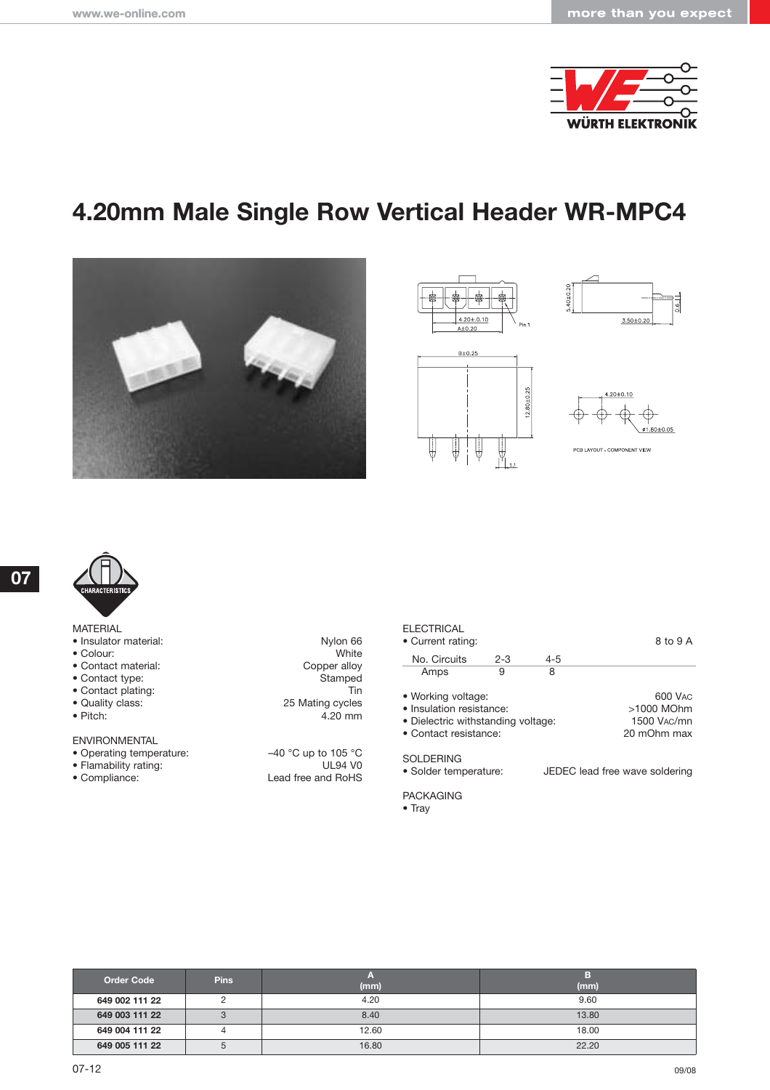

# **4.20mm Male Single Row Vertical Header WR-MPC4**













- Insulator material:
- $\bullet$  Colour:
- $\bullet$  Contact material:
- Contact type:
- Contact plating:<br>
 Quality class: 25
- Quality class:
- $\bullet$  Pitch:

#### ENVIRONMENTAL

- Operating temperature:  $-40$  °C up to 105 °C
- 
- 

| Nylon 66      |
|---------------|
| White         |
| Copper alloy  |
| Stamped       |
| Tin           |
| Mating cycles |
| 4.20 mm       |
|               |

• Flamability rating: UL94 V0 • Compliance: Lead free and RoHS

#### **ELECTRICAL**

| • Current rating:                                                                                             |         |         | 8 to 9 A                                                         |
|---------------------------------------------------------------------------------------------------------------|---------|---------|------------------------------------------------------------------|
| No. Circuits                                                                                                  | $2 - 3$ | $4 - 5$ |                                                                  |
| Amps                                                                                                          | 9       | 8       |                                                                  |
| • Working voltage:<br>• Insulation resistance:<br>• Dielectric withstanding voltage:<br>• Contact resistance: |         |         | 600 VAC<br>>1000 MOhm<br>1500 V <sub>AC</sub> /mn<br>20 mOhm max |
| SOLDERING                                                                                                     |         |         |                                                                  |

· Solder temperature:

JEDEC lead free wave soldering

PACKAGING

| <b>Order Code</b> | <b>Pins</b> | (mm)  | (mm)  |
|-------------------|-------------|-------|-------|
| 649 002 111 22    |             | 4.20  | 9.60  |
| 649 003 111 22    |             | 8.40  | 13.80 |
| 649 004 111 22    |             | 12.60 | 18.00 |
| 649 005 111 22    | b           | 16.80 | 22.20 |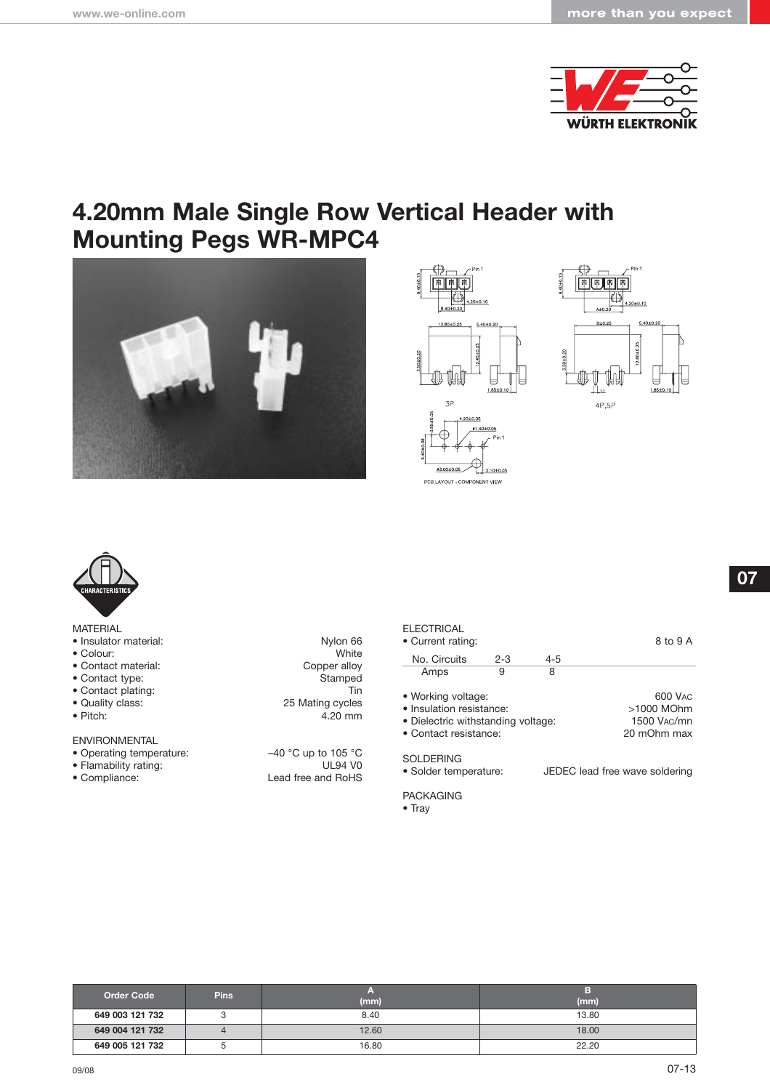

### **4.20mm Male Single Row Vertical Header with Mounting Pegs WR-MPC4**









#### MATERIAL

- Insulator material:
- $\bullet$  Colour:
- Contact material:
- Contact type:
- Contact plating:<br>• Quality class: 25
- Quality class:
- $\bullet$  Pitch:

#### ENVIRONMENTAL

- Operating temperature:  $-40$  °C up to 105 °C
- 
- 

| Nylon 66      |
|---------------|
| White         |
| Copper alloy  |
| Stamped       |
| Tin           |
| Mating cycles |
| 4.20 mm       |

• Flamability rating: UL94 V0 • Compliance: Lead free and RoHS

| <b>ELECTRICAL</b><br>• Current rating:                                                                        | 8 to 9 A |     |                                                                  |
|---------------------------------------------------------------------------------------------------------------|----------|-----|------------------------------------------------------------------|
| No. Circuits                                                                                                  | $2 - 3$  | 4-5 |                                                                  |
| Amps                                                                                                          | 9        | 8   |                                                                  |
| • Working voltage:<br>• Insulation resistance:<br>• Dielectric withstanding voltage:<br>• Contact resistance: |          |     | 600 VAC<br>>1000 MOhm<br>1500 V <sub>AC</sub> /mn<br>20 mOhm max |
| SOI DERING                                                                                                    |          |     |                                                                  |

· Solder temperature: JEDEC lead free wave soldering

PACKAGING

| <b>Order Code</b> | <b>Pins</b> | (mm)  | (mm)  |
|-------------------|-------------|-------|-------|
| 649 003 121 732   |             | 8.40  | 13.80 |
| 649 004 121 732   |             | 12.60 | 18.00 |
| 649 005 121 732   | ັ           | 16.80 | 22.20 |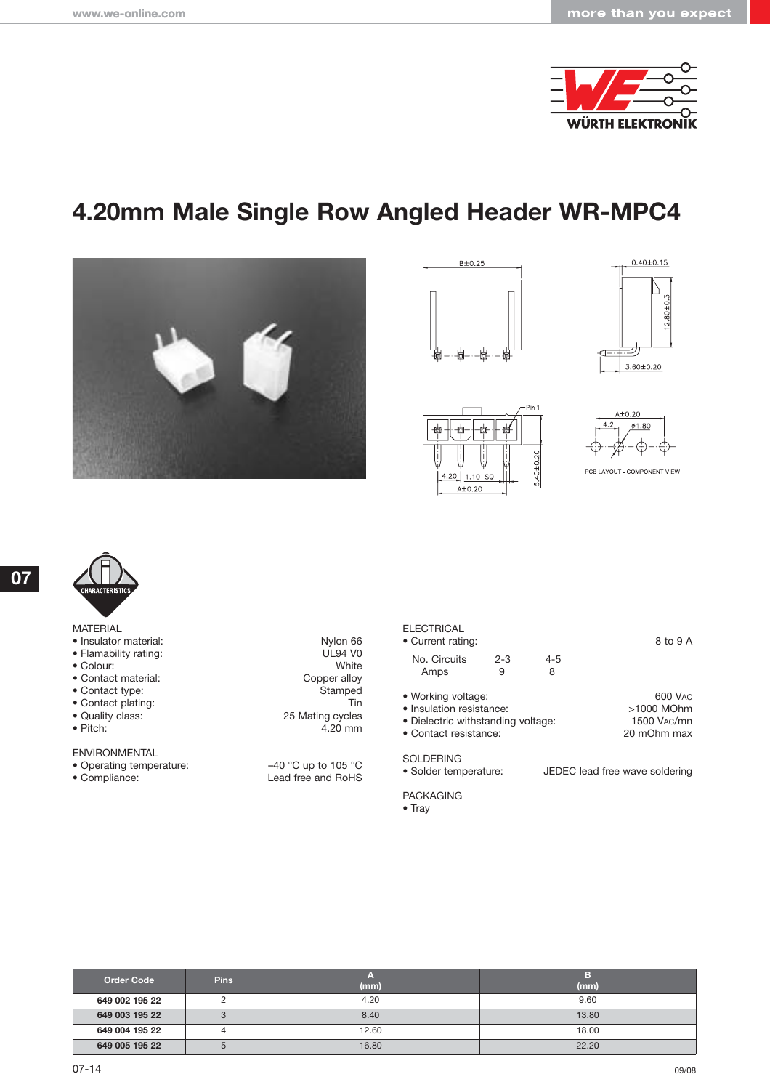

# **4.20mm Male Single Row Angled Header WR-MPC4**











#### PCB LAYOUT - COMPONENT VIEW



**07**

| <b>MATERIAL</b> |  |
|-----------------|--|

- Insulator material:
- Flamability rating:
- $\bullet$  Colour:
- Contact material:
- $\bullet$  Contact type:
- Contact plating:<br>
 Quality class: 25
- Quality class:<br>• Pitch:
- 

#### ENVIRONMENTAL

- 
- 

| Nylon 66        |
|-----------------|
| <b>UL94 V0</b>  |
| White           |
| Copper alloy    |
| Stamped         |
| Tin             |
| 5 Mating cycles |
| 4.20 mm         |
|                 |

• Operating temperature:  $-40 °C$  up to 105 °C<br>• Compliance: Lead free and RoHS Lead free and RoHS

#### **ELECTRICAL**

| • Current rating:                                                                                             |         |         | 8 to 9 A                                            |
|---------------------------------------------------------------------------------------------------------------|---------|---------|-----------------------------------------------------|
| No. Circuits                                                                                                  | $2 - 3$ | $4 - 5$ |                                                     |
| Amps                                                                                                          | 9       | 8       |                                                     |
| • Working voltage:<br>· Insulation resistance:<br>• Dielectric withstanding voltage:<br>• Contact resistance: |         |         | 600 VAC<br>>1000 MOhm<br>1500 VAC/mn<br>20 mOhm max |
| SOLDERING                                                                                                     |         |         |                                                     |

· Solder temperature: JEDEC lead free wave soldering

PACKAGING

| <b>Order Code</b> | <b>Pins</b> | (mm)  | (mm)  |
|-------------------|-------------|-------|-------|
| 649 002 195 22    |             | 4.20  | 9.60  |
| 649 003 195 22    | ◠<br>ت      | 8.40  | 13.80 |
| 649 004 195 22    |             | 12.60 | 18.00 |
| 649 005 195 22    | 5           | 16.80 | 22.20 |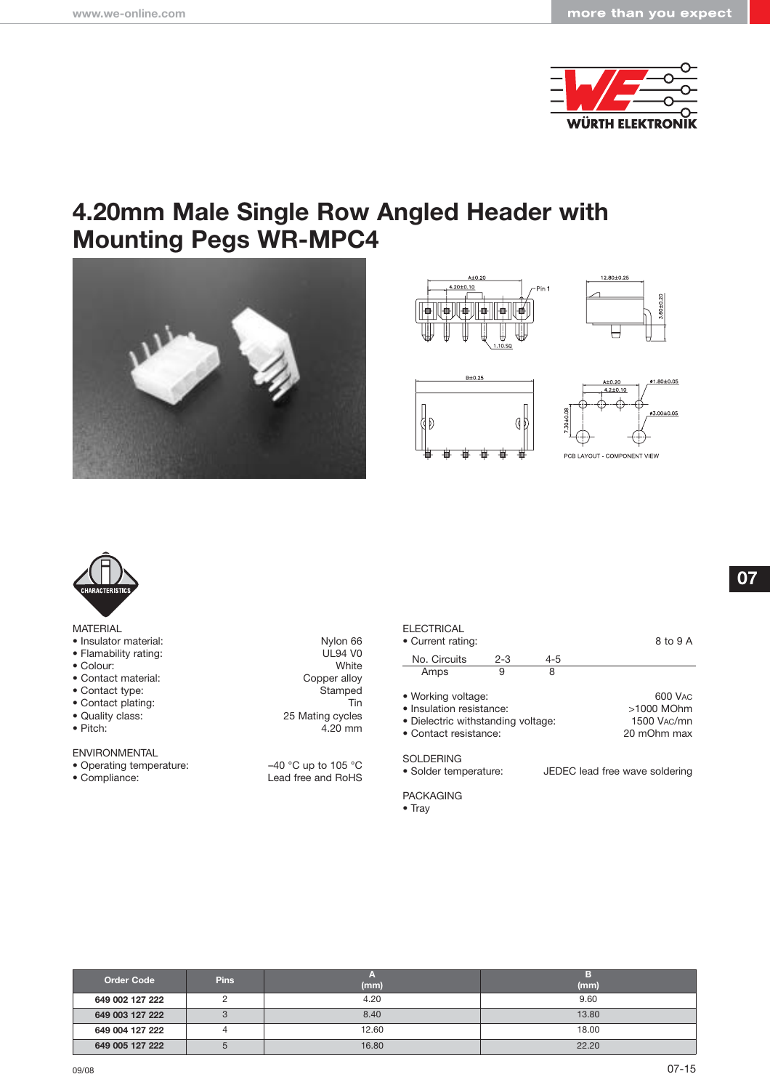

### **4.20mm Male Single Row Angled Header with Mounting Pegs WR-MPC4**













#### MATERIAL

- $\bullet$  Insulator material:
- Flamability rating:
- $\bullet$  Colour:
- Contact material:
- $\bullet$  Contact type:
- Contact plating:<br>
 Quality class: 25
- Quality class:<br>• Pitch:
- 

#### ENVIRONMENTAL

- 
- 

| Nylon 66             |
|----------------------|
| <b>UL94 VO</b>       |
| White                |
| Copper alloy         |
| Stamped              |
| Tin                  |
| <b>Mating cycles</b> |
| 4.20 mm              |
|                      |

• Operating temperature:  $-40 °C$  up to 105 °C<br>• Compliance: Lead free and RoHS Lead free and RoHS

#### **ELECTRICAL** • Current rating: 8 to 9 A No. Circuits 2-3 4-5<br>Amps 9 8 Amps

| • Working voltage:                 | 600 VAC     |
|------------------------------------|-------------|
| • Insulation resistance:           | >1000 MOhm  |
| • Dielectric withstanding voltage: | 1500 VAC/mn |
| • Contact resistance:              | 20 mOhm max |
|                                    |             |

SOLDERING<br>• Solder temperature: JEDEC lead free wave soldering

PACKAGING

| <b>Order Code</b> | <b>Pins</b> | (mm)  | (mm)  |
|-------------------|-------------|-------|-------|
| 649 002 127 222   |             | 4.20  | 9.60  |
| 649 003 127 222   |             | 8.40  | 13.80 |
| 649 004 127 222   |             | 12.60 | 18.00 |
| 649 005 127 222   |             | 16.80 | 22.20 |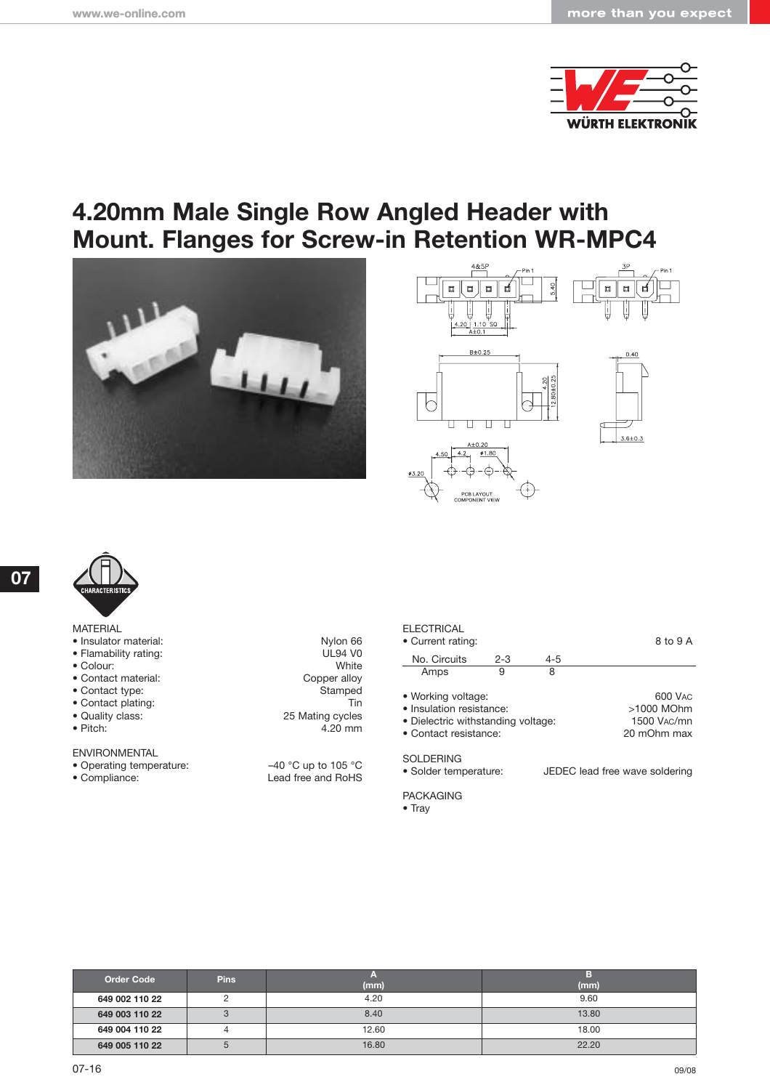

### **4.20mm Male Single Row Angled Header with Mount. Flanges for Screw-in Retention WR-MPC4**







| <b>MATERIAL</b> |  |  |
|-----------------|--|--|
|                 |  |  |

- $\bullet$  Insulator material:
- Flamability rating:
- $\bullet$  Colour:
- Contact material:
- $\bullet$  Contact type:
- Contact plating:<br>
 Quality class: 25 • Quality class:
- $\bullet$  Pitch:
- 

ENVIRONMENTAL

- 
- 

| Nylon 66       |
|----------------|
|                |
| <b>UL94 V0</b> |
| White          |
| Copper alloy   |
| Stamped        |
| Tin            |
| Mating cycles  |
| 4.20 mm        |

• Operating temperature:  $-40 °C$  up to 105 °C<br>• Compliance: Lead free and RoHS Lead free and RoHS

#### **ELECTRICAL**

| • Current rating:                                                                                             |         |         | 8 to 9 A                                                         |
|---------------------------------------------------------------------------------------------------------------|---------|---------|------------------------------------------------------------------|
| No. Circuits                                                                                                  | $2 - 3$ | $4 - 5$ |                                                                  |
| Amps                                                                                                          | 9       | 8       |                                                                  |
| • Working voltage:<br>• Insulation resistance:<br>• Dielectric withstanding voltage:<br>• Contact resistance: |         |         | 600 VAC<br>>1000 MOhm<br>1500 V <sub>AC</sub> /mn<br>20 mOhm max |
| SOLDERING                                                                                                     |         |         |                                                                  |

• Solder temperature: JEDEC lead free wave soldering

PACKAGING

• Tray

| <b>Order Code</b> | <b>Pins</b> |       |       |
|-------------------|-------------|-------|-------|
|                   |             | (mm)  | (mm)  |
| 649 002 110 22    |             | 4.20  | 9.60  |
| 649 003 110 22    | З           | 8.40  | 13.80 |
| 649 004 110 22    |             | 12.60 | 18.00 |
| 649 005 110 22    |             | 16.80 | 22.20 |

**07**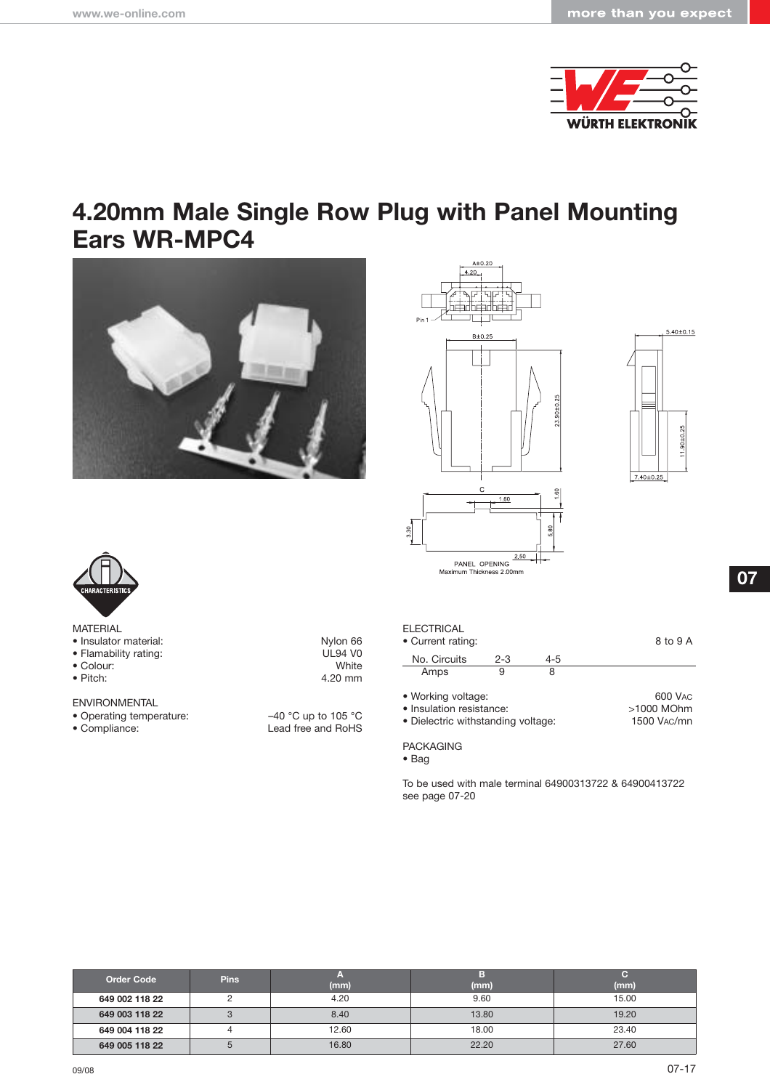

### **4.20mm Male Single Row Plug with Panel Mounting Ears WR-MPC4**









| <b>MATERIAL</b> |  |
|-----------------|--|
|-----------------|--|

- 
- 
- Colour:<br>• Pitch:
- 
- ENVIRONMENTAL
- 
- 

• Insulator material: Nylon 66<br>• Flamability rating: New York 1992 VO • Flamability rating: UL94 VO<br>
• Colour: White We 4.20 mm

• Operating temperature:  $-40 °C$  up to 105 °C<br>• Compliance: Lead free and RoHS Lead free and RoHS

| <b>ELECTRICAL</b><br>• Current rating:                                               |         |         | 8 to 9 A                             |
|--------------------------------------------------------------------------------------|---------|---------|--------------------------------------|
| No. Circuits                                                                         | $2 - 3$ | $4 - 5$ |                                      |
| Amps                                                                                 | 9       | 8       |                                      |
| • Working voltage:<br>· Insulation resistance:<br>• Dielectric withstanding voltage: |         |         | 600 VAC<br>>1000 MOhm<br>1500 VAC/mn |

PACKAGING

• Bag

To be used with male terminal 64900313722 & 64900413722 see page 07-20

| <b>Order Code</b> | <b>Pins</b>  | (mm)  | (mm)  | (mm)  |
|-------------------|--------------|-------|-------|-------|
| 649 002 118 22    |              | 4.20  | 9.60  | 15.00 |
| 649 003 118 22    |              | 8.40  | 13.80 | 19.20 |
| 649 004 118 22    |              | 12.60 | 18.00 | 23.40 |
| 649 005 118 22    | <sub>5</sub> | 16.80 | 22.20 | 27.60 |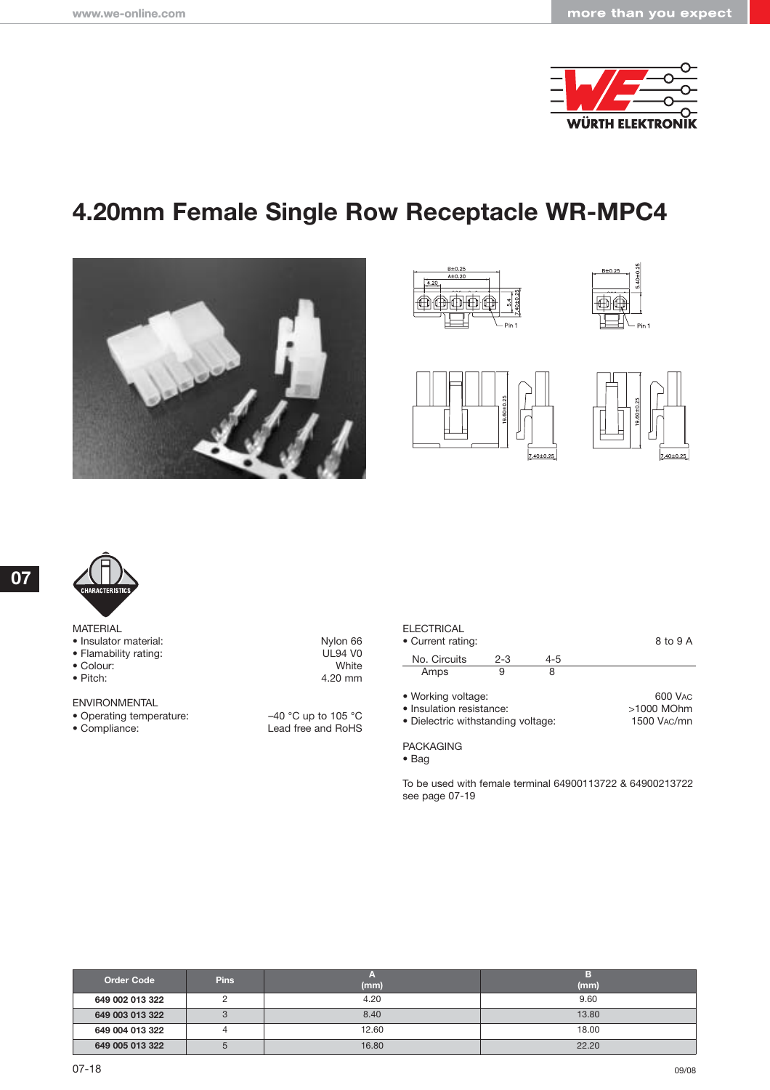

# **4.20mm Female Single Row Receptacle WR-MPC4**













|                 | <b>CHARACTERISTICS</b> |
|-----------------|------------------------|
| <b>MATERIAI</b> |                        |

|  | IVIAI LNIAL |                     |
|--|-------------|---------------------|
|  |             | • Inculator materia |

- Insulator material: New York 1980 More in the UL94 VO
- Colour:<br>• Pitch:
- 

ENVIRONMENTAL

- 
- 

• Flamability rating: UL94 V0<br>• Colour: UNite 4.20 mm

• Operating temperature:  $-40 °C$  up to 105 °C<br>• Compliance: Lead free and RoHS Lead free and RoHS

| ELECTRICAL<br>• Current rating:                                                      |         |         | 8 to 9 A                             |
|--------------------------------------------------------------------------------------|---------|---------|--------------------------------------|
| No. Circuits                                                                         | $2 - 3$ | $4 - 5$ |                                      |
| Amps                                                                                 | 9       | 8       |                                      |
| • Working voltage:<br>· Insulation resistance:<br>• Dielectric withstanding voltage: |         |         | 600 VAC<br>>1000 MOhm<br>1500 VAC/mn |

PACKAGING

To be used with female terminal 64900113722 & 64900213722 see page 07-19

| <b>Order Code</b> | <b>Pins</b> |       |       |
|-------------------|-------------|-------|-------|
|                   |             | (mm)  | (mm)  |
| 649 002 013 322   |             | 4.20  | 9.60  |
| 649 003 013 322   | J           | 8.40  | 13.80 |
| 649 004 013 322   |             | 12.60 | 18.00 |
| 649 005 013 322   |             | 16.80 | 22.20 |

<sup>•</sup> Bag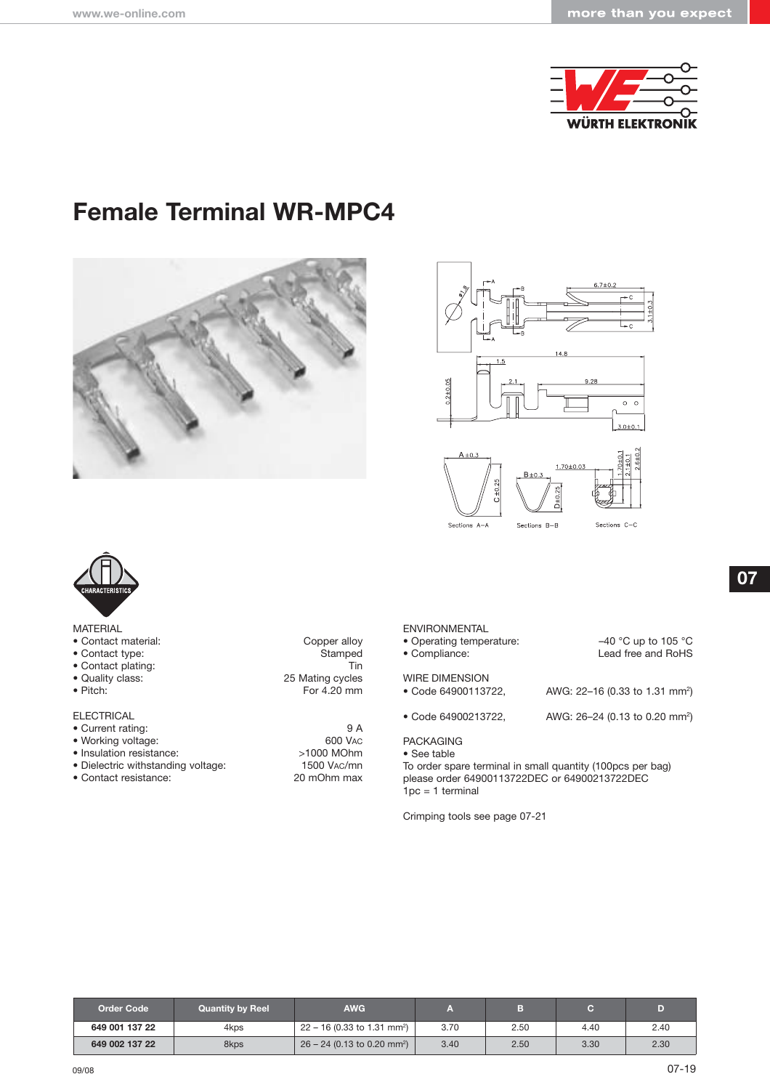

# **Female Terminal WR-MPC4**







| MATERIAL |
|----------|
|----------|

- Contact material: Copper alloy
- 
- Contact plating:<br>• Quality class:
- 
- 

ELECTRICAL

- 
- 
- Insulation resistance:  $>1000$  MOhm
- Contact resistance: 20 mOhm max
- Contact type: Stamped<br>• Contact plating: Tin • Quality class: 25 Mating cycles<br>• Pitch: 25 Mating cycles<br>• Pitch: 20 mm For 4.20 mm
- Current rating: 9 A • Working voltage: 600 VAC • Dielectric withstanding voltage: 1500 VAC/mn

| <b>ENVIRONMENTAL</b><br>• Operating temperature:<br>• Compliance: | $-40$ °C up to 105 °C<br>Lead free and RoHS |
|-------------------------------------------------------------------|---------------------------------------------|
| <b>WIRE DIMENSION</b><br>• Code 64900113722,                      | AWG: 22-16 (0.33 to 1.31 mm <sup>2</sup> )  |
| • Code 64900213722.                                               | AWG: 26-24 (0.13 to 0.20 mm <sup>2</sup> )  |
|                                                                   |                                             |

#### PACKAGING

• See table To order spare terminal in small quantity (100pcs per bag) please order 64900113722DEC or 64900213722DEC  $1pc = 1$  terminal

Crimping tools see page 07-21

**07**

| Order Code     | <b>Quantity by Reel</b> | <b>AWG</b>                                |      |      |      |      |
|----------------|-------------------------|-------------------------------------------|------|------|------|------|
| 649 001 137 22 | 4kps                    | $22 - 16$ (0.33 to 1.31 mm <sup>2</sup> ) | 3.70 | 2.50 | 4.40 | 2.40 |
| 649 002 137 22 | 8kps                    | $26 - 24$ (0.13 to 0.20 mm <sup>2</sup> ) | 3.40 | 2.50 | 3.30 | 2.30 |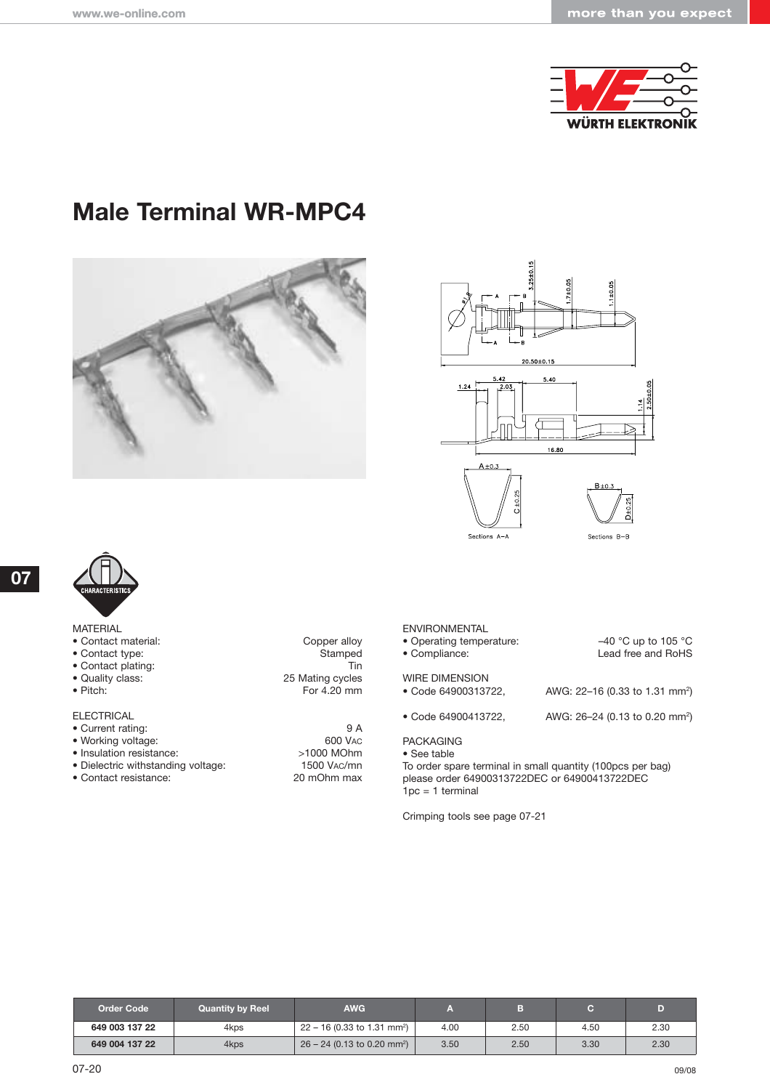

# **Male Terminal WR-MPC4**







MATERIAL

- Contact material: Copper alloy
- 
- Contact plating:<br>• Quality class:
- 
- 

**ELECTRICAL** 

- 
- 
- 
- 
- Contact resistance:

• Contact type: Stamped<br>• Contact plating: Tin • Quality class: 25 Mating cycles For 4.20 mm

• Current rating: 9 A • Working voltage: 600 VAC • Insulation resistance:  $>1000$  MOhm<br>• Dielectric withstanding voltage: 1500 VAC/mn • Dielectric withstanding voltage: 1500 VAC/mn<br>• Contact resistance: 20 mOhm max

#### ENVIRONMENTAL

• Operating temperature: –40 °C up to 105 °C

- Compliance: Lead free and RoHS
- 

### WIRE DIMENSION<br>• Code 64900313722.

• Code 64900413722, AWG: 26–24 (0.13 to 0.20 mm2)

PACKAGING

• See table

To order spare terminal in small quantity (100pcs per bag) please order 64900313722DEC or 64900413722DEC  $1pc = 1$  terminal

AWG: 22-16 (0.33 to 1.31 mm<sup>2</sup>)

Crimping tools see page 07-21

| <b>Order Code</b> | <b>Quantity by Reel</b> | <b>AWG</b>                                |      |      |      |      |
|-------------------|-------------------------|-------------------------------------------|------|------|------|------|
| 649 003 137 22    | 4kps                    | $22 - 16$ (0.33 to 1.31 mm <sup>2</sup> ) | 4.00 | 2.50 | 4.50 | 2.30 |
| 649 004 137 22    | 4kps                    | $26 - 24$ (0.13 to 0.20 mm <sup>2</sup> ) | 3.50 | 2.50 | 3.30 | 2.30 |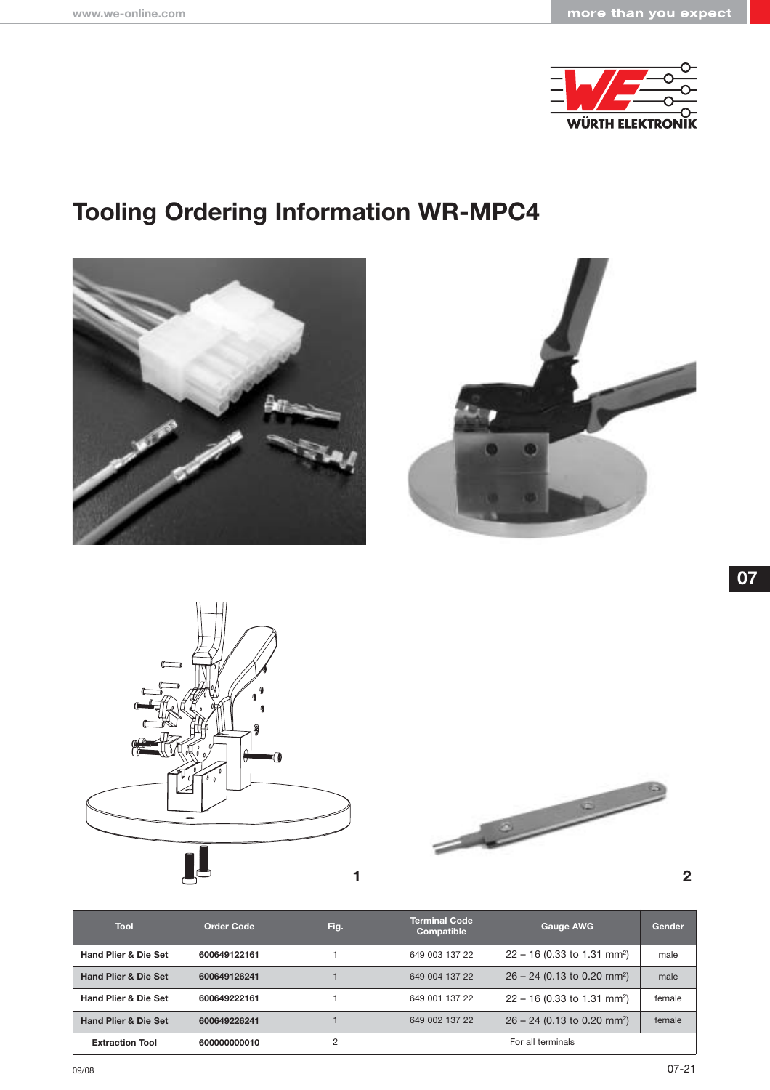

# **Tooling Ordering Information WR-MPC4**









| Tool                            | <b>Order Code</b> | Fig.           | <b>Terminal Code</b><br>Compatible | <b>Gauge AWG</b>                          | Gender |
|---------------------------------|-------------------|----------------|------------------------------------|-------------------------------------------|--------|
| <b>Hand Plier &amp; Die Set</b> | 600649122161      |                | 649 003 137 22                     | $22 - 16$ (0.33 to 1.31 mm <sup>2</sup> ) | male   |
| <b>Hand Plier &amp; Die Set</b> | 600649126241      |                | 649 004 137 22                     | $26 - 24$ (0.13 to 0.20 mm <sup>2</sup> ) | male   |
| <b>Hand Plier &amp; Die Set</b> | 600649222161      |                | 649 001 137 22                     | $22 - 16$ (0.33 to 1.31 mm <sup>2</sup> ) | female |
| <b>Hand Plier &amp; Die Set</b> | 600649226241      |                | 649 002 137 22                     | $26 - 24$ (0.13 to 0.20 mm <sup>2</sup> ) | female |
| <b>Extraction Tool</b>          | 600000000010      | $\mathfrak{p}$ |                                    | For all terminals                         |        |